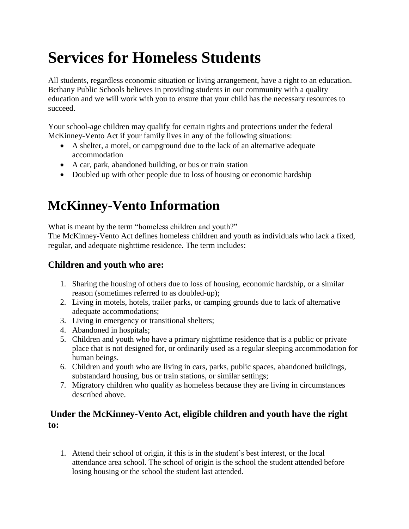# **Services for Homeless Students**

All students, regardless economic situation or living arrangement, have a right to an education. Bethany Public Schools believes in providing students in our community with a quality education and we will work with you to ensure that your child has the necessary resources to succeed.

Your school-age children may qualify for certain rights and protections under the federal McKinney-Vento Act if your family lives in any of the following situations:

- A shelter, a motel, or campground due to the lack of an alternative adequate accommodation
- A car, park, abandoned building, or bus or train station
- Doubled up with other people due to loss of housing or economic hardship

# **McKinney-Vento Information**

What is meant by the term "homeless children and youth?"

The McKinney-Vento Act defines homeless children and youth as individuals who lack a fixed, regular, and adequate nighttime residence. The term includes:

## **Children and youth who are:**

- 1. Sharing the housing of others due to loss of housing, economic hardship, or a similar reason (sometimes referred to as doubled-up);
- 2. Living in motels, hotels, trailer parks, or camping grounds due to lack of alternative adequate accommodations;
- 3. Living in emergency or transitional shelters;
- 4. Abandoned in hospitals;
- 5. Children and youth who have a primary nighttime residence that is a public or private place that is not designed for, or ordinarily used as a regular sleeping accommodation for human beings.
- 6. Children and youth who are living in cars, parks, public spaces, abandoned buildings, substandard housing, bus or train stations, or similar settings;
- 7. Migratory children who qualify as homeless because they are living in circumstances described above.

### **Under the McKinney-Vento Act, eligible children and youth have the right to:**

1. Attend their school of origin, if this is in the student's best interest, or the local attendance area school. The school of origin is the school the student attended before losing housing or the school the student last attended.